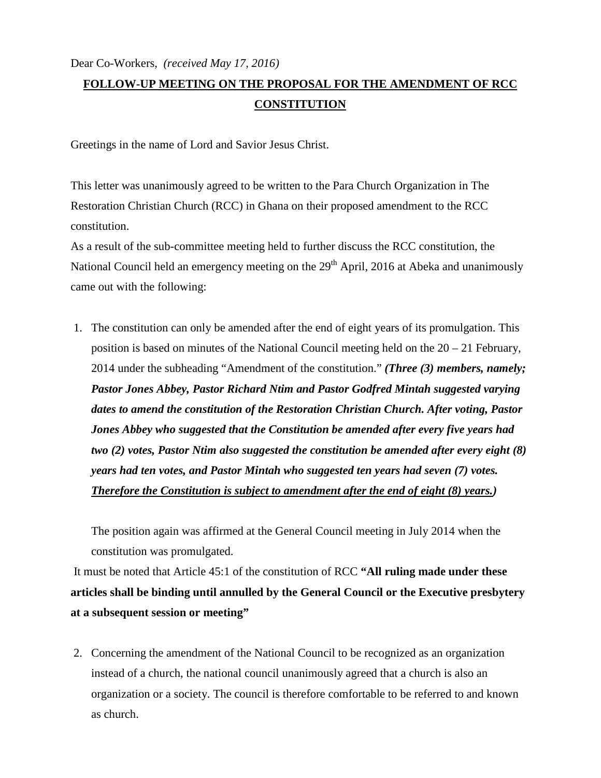## **FOLLOW-UP MEETING ON THE PROPOSAL FOR THE AMENDMENT OF RCC CONSTITUTION**

Greetings in the name of Lord and Savior Jesus Christ.

This letter was unanimously agreed to be written to the Para Church Organization in The Restoration Christian Church (RCC) in Ghana on their proposed amendment to the RCC constitution.

As a result of the sub-committee meeting held to further discuss the RCC constitution, the National Council held an emergency meeting on the 29<sup>th</sup> April, 2016 at Abeka and unanimously came out with the following:

1. The constitution can only be amended after the end of eight years of its promulgation. This position is based on minutes of the National Council meeting held on the 20 – 21 February, 2014 under the subheading "Amendment of the constitution." *(Three (3) members, namely; Pastor Jones Abbey, Pastor Richard Ntim and Pastor Godfred Mintah suggested varying dates to amend the constitution of the Restoration Christian Church. After voting, Pastor Jones Abbey who suggested that the Constitution be amended after every five years had two (2) votes, Pastor Ntim also suggested the constitution be amended after every eight (8) years had ten votes, and Pastor Mintah who suggested ten years had seven (7) votes. Therefore the Constitution is subject to amendment after the end of eight (8) years.)* 

The position again was affirmed at the General Council meeting in July 2014 when the constitution was promulgated.

 It must be noted that Article 45:1 of the constitution of RCC **"All ruling made under these articles shall be binding until annulled by the General Council or the Executive presbytery at a subsequent session or meeting"** 

2. Concerning the amendment of the National Council to be recognized as an organization instead of a church, the national council unanimously agreed that a church is also an organization or a society. The council is therefore comfortable to be referred to and known as church.